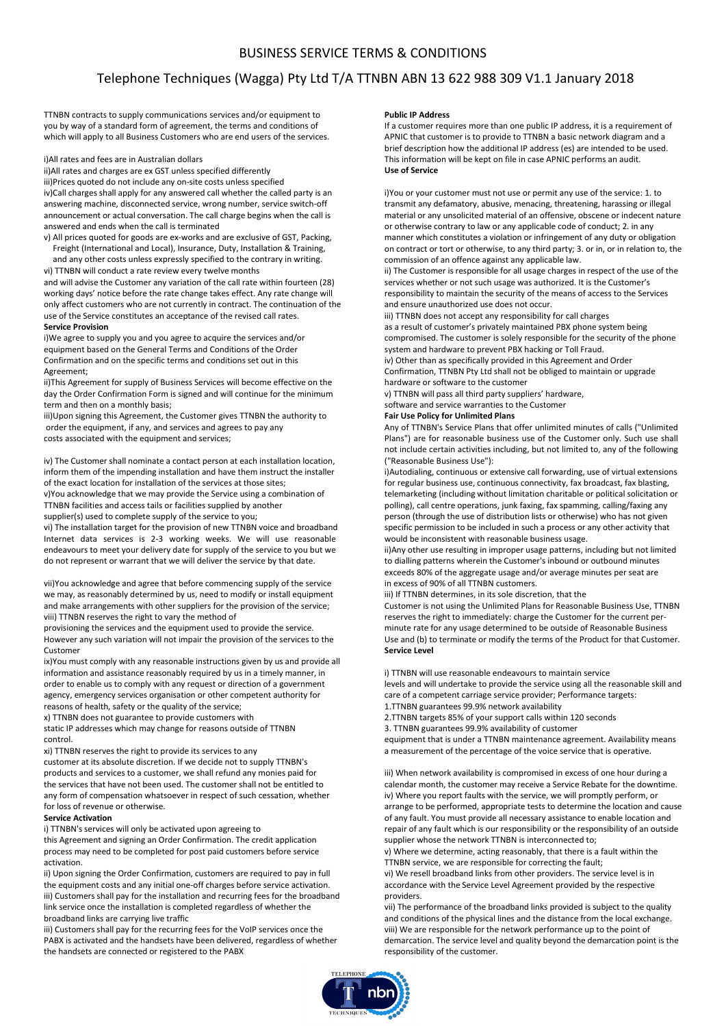# BUSINESS SERVICE TERMS & CONDITIONS

# Telephone Techniques (Wagga) Pty Ltd T/A TTNBN ABN 13 622 988 309 V1.1 January 2018

TTNBN contracts to supply communications services and/or equipment to you by way of a standard form of agreement, the terms and conditions of which will apply to all Business Customers who are end users of the services.

i)All rates and fees are in Australian dollars

ii)All rates and charges are ex GST unless specified differently

iii)Prices quoted do not include any on-site costs unless specified

iv)Call charges shall apply for any answered call whether the called party is an answering machine, disconnected service, wrong number, service switch-off announcement or actual conversation. The call charge begins when the call is answered and ends when the call is terminated

v) All prices quoted for goods are ex-works and are exclusive of GST, Packing, Freight (International and Local), Insurance, Duty, Installation & Training,

and any other costs unless expressly specified to the contrary in writing. vi) TTNBN will conduct a rate review every twelve months

and will advise the Customer any variation of the call rate within fourteen (28) working days' notice before the rate change takes effect. Any rate change will only affect customers who are not currently in contract. The continuation of the use of the Service constitutes an acceptance of the revised call rates. **Service Provision** 

i)We agree to supply you and you agree to acquire the services and/or equipment based on the General Terms and Conditions of the Order Confirmation and on the specific terms and conditions set out in this Agreement;

ii)This Agreement for supply of Business Services will become effective on the day the Order Confirmation Form is signed and will continue for the minimum term and then on a monthly basis;

iii)Upon signing this Agreement, the Customer gives TTNBN the authority to order the equipment, if any, and services and agrees to pay any costs associated with the equipment and services;

iv) The Customer shall nominate a contact person at each installation location, inform them of the impending installation and have them instruct the installer of the exact location for installation of the services at those sites;

v)You acknowledge that we may provide the Service using a combination of TTNBN facilities and access tails or facilities supplied by another

supplier(s) used to complete supply of the service to you;

vi) The installation target for the provision of new TTNBN voice and broadband Internet data services is 2-3 working weeks. We will use reasonable endeavours to meet your delivery date for supply of the service to you but we do not represent or warrant that we will deliver the service by that date.

vii)You acknowledge and agree that before commencing supply of the service we may, as reasonably determined by us, need to modify or install equipment and make arrangements with other suppliers for the provision of the service; viii) TTNBN reserves the right to vary the method of

provisioning the services and the equipment used to provide the service. However any such variation will not impair the provision of the services to the Customer

ix)You must comply with any reasonable instructions given by us and provide all information and assistance reasonably required by us in a timely manner, in order to enable us to comply with any request or direction of a government agency, emergency services organisation or other competent authority for reasons of health, safety or the quality of the service;

x) TTNBN does not guarantee to provide customers with

static IP addresses which may change for reasons outside of TTNBN control.

xi) TTNBN reserves the right to provide its services to any

customer at its absolute discretion. If we decide not to supply TTNBN's products and services to a customer, we shall refund any monies paid for the services that have not been used. The customer shall not be entitled to any form of compensation whatsoever in respect of such cessation, whether for loss of revenue or otherwise.

## **Service Activation**

i) TTNBN's services will only be activated upon agreeing to this Agreement and signing an Order Confirmation. The credit application process may need to be completed for post paid customers before service activation.

ii) Upon signing the Order Confirmation, customers are required to pay in full the equipment costs and any initial one-off charges before service activation. iii) Customers shall pay for the installation and recurring fees for the broadband link service once the installation is completed regardless of whether the broadband links are carrying live traffic

iii) Customers shall pay for the recurring fees for the VoIP services once the PABX is activated and the handsets have been delivered, regardless of whether the handsets are connected or registered to the PABX

#### **Public IP Address**

If a customer requires more than one public IP address, it is a requirement of APNIC that customer is to provide to TTNBN a basic network diagram and a brief description how the additional IP address (es) are intended to be used. This information will be kept on file in case APNIC performs an audit. **Use of Service** 

i)You or your customer must not use or permit any use of the service: 1. to transmit any defamatory, abusive, menacing, threatening, harassing or illegal material or any unsolicited material of an offensive, obscene or indecent nature or otherwise contrary to law or any applicable code of conduct; 2. in any manner which constitutes a violation or infringement of any duty or obligation on contract or tort or otherwise, to any third party; 3. or in, or in relation to, the commission of an offence against any applicable law.

ii) The Customer is responsible for all usage charges in respect of the use of the services whether or not such usage was authorized. It is the Customer's responsibility to maintain the security of the means of access to the Services and ensure unauthorized use does not occur.

iii) TTNBN does not accept any responsibility for call charges as a result of customer's privately maintained PBX phone system being compromised. The customer is solely responsible for the security of the phone system and hardware to prevent PBX hacking or Toll Fraud. iv) Other than as specifically provided in this Agreement and Order Confirmation, TTNBN Pty Ltd shall not be obliged to maintain or upgrade hardware or software to the customer

v) TTNBN will pass all third party suppliers' hardware,

software and service warranties to the Customer

#### **Fair Use Policy for Unlimited Plans**

Any of TTNBN's Service Plans that offer unlimited minutes of calls ("Unlimited Plans") are for reasonable business use of the Customer only. Such use shall not include certain activities including, but not limited to, any of the following ("Reasonable Business Use"):

i)Autodialing, continuous or extensive call forwarding, use of virtual extensions for regular business use, continuous connectivity, fax broadcast, fax blasting, telemarketing (including without limitation charitable or political solicitation or polling), call centre operations, junk faxing, fax spamming, calling/faxing any person (through the use of distribution lists or otherwise) who has not given specific permission to be included in such a process or any other activity that would be inconsistent with reasonable business usage.

ii)Any other use resulting in improper usage patterns, including but not limited to dialling patterns wherein the Customer's inbound or outbound minutes exceeds 80% of the aggregate usage and/or average minutes per seat are in excess of 90% of all TTNBN customers.

iii) If TTNBN determines, in its sole discretion, that the

Customer is not using the Unlimited Plans for Reasonable Business Use, TTNBN reserves the right to immediately: charge the Customer for the current perminute rate for any usage determined to be outside of Reasonable Business Use and (b) to terminate or modify the terms of the Product for that Customer. **Service Level** 

i) TTNBN will use reasonable endeavours to maintain service

levels and will undertake to provide the service using all the reasonable skill and care of a competent carriage service provider; Performance targets: 1.TTNBN guarantees 99.9% network availability

2.TTNBN targets 85% of your support calls within 120 seconds

3. TTNBN guarantees 99.9% availability of customer

equipment that is under a TTNBN maintenance agreement. Availability means a measurement of the percentage of the voice service that is operative.

iii) When network availability is compromised in excess of one hour during a calendar month, the customer may receive a Service Rebate for the downtime. iv) Where you report faults with the service, we will promptly perform, or arrange to be performed, appropriate tests to determine the location and cause of any fault. You must provide all necessary assistance to enable location and repair of any fault which is our responsibility or the responsibility of an outside supplier whose the network TTNBN is interconnected to;

v) Where we determine, acting reasonably, that there is a fault within the TTNBN service, we are responsible for correcting the fault;

vi) We resell broadband links from other providers. The service level is in accordance with the Service Level Agreement provided by the respective providers.

vii) The performance of the broadband links provided is subject to the quality and conditions of the physical lines and the distance from the local exchange. viii) We are responsible for the network performance up to the point of demarcation. The service level and quality beyond the demarcation point is the responsibility of the customer.

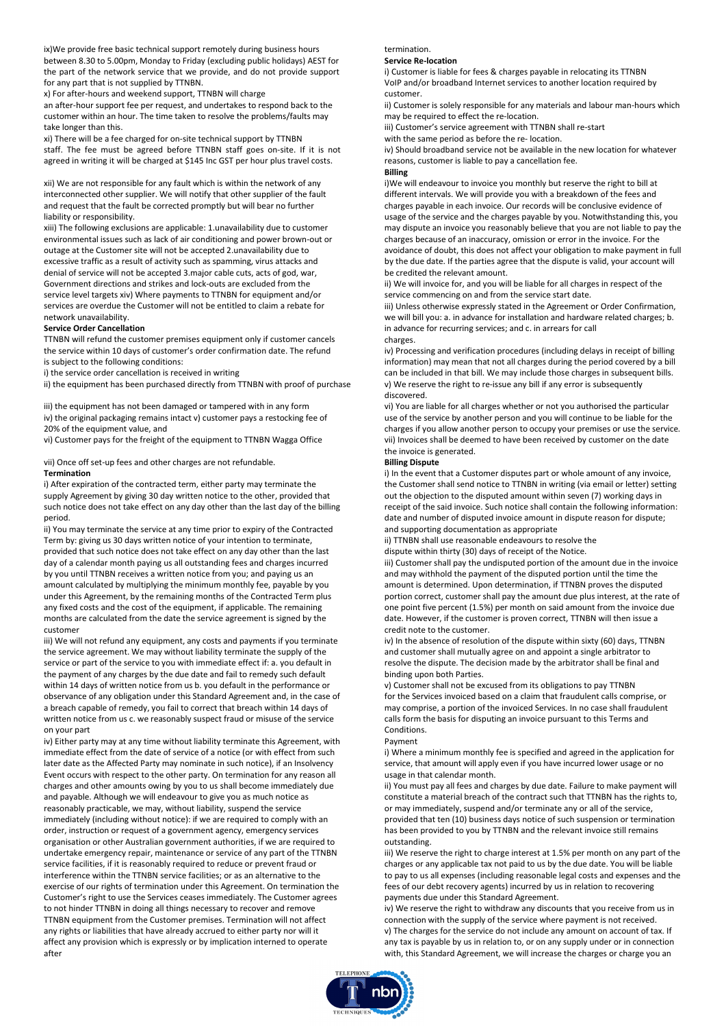ix)We provide free basic technical support remotely during business hours between 8.30 to 5.00pm, Monday to Friday (excluding public holidays) AEST for the part of the network service that we provide, and do not provide support for any part that is not supplied by TTNBN.

x) For after-hours and weekend support, TTNBN will charge

an after-hour support fee per request, and undertakes to respond back to the customer within an hour. The time taken to resolve the problems/faults may take longer than this.

xi) There will be a fee charged for on-site technical support by TTNBN staff. The fee must be agreed before TTNBN staff goes on-site. If it is not agreed in writing it will be charged at \$145 Inc GST per hour plus travel costs.

xii) We are not responsible for any fault which is within the network of any interconnected other supplier. We will notify that other supplier of the fault and request that the fault be corrected promptly but will bear no further liability or responsibility.

xiii) The following exclusions are applicable: 1.unavailability due to customer environmental issues such as lack of air conditioning and power brown-out or outage at the Customer site will not be accepted 2.unavailability due to excessive traffic as a result of activity such as spamming, virus attacks and denial of service will not be accepted 3.major cable cuts, acts of god, war, Government directions and strikes and lock-outs are excluded from the service level targets xiv) Where payments to TTNBN for equipment and/or services are overdue the Customer will not be entitled to claim a rebate for network unavailability.

#### **Service Order Cancellation**

TTNBN will refund the customer premises equipment only if customer cancels the service within 10 days of customer's order confirmation date. The refund is subject to the following conditions:

i) the service order cancellation is received in writing

ii) the equipment has been purchased directly from TTNBN with proof of purchase

iii) the equipment has not been damaged or tampered with in any form

iv) the original packaging remains intact v) customer pays a restocking fee of 20% of the equipment value, and

vi) Customer pays for the freight of the equipment to TTNBN Wagga Office

vii) Once off set-up fees and other charges are not refundable.

## **Termination**

i) After expiration of the contracted term, either party may terminate the supply Agreement by giving 30 day written notice to the other, provided that such notice does not take effect on any day other than the last day of the billing period.

ii) You may terminate the service at any time prior to expiry of the Contracted Term by: giving us 30 days written notice of your intention to terminate, provided that such notice does not take effect on any day other than the last day of a calendar month paying us all outstanding fees and charges incurred by you until TTNBN receives a written notice from you; and paying us an amount calculated by multiplying the minimum monthly fee, payable by you under this Agreement, by the remaining months of the Contracted Term plus any fixed costs and the cost of the equipment, if applicable. The remaining months are calculated from the date the service agreement is signed by the customer

iii) We will not refund any equipment, any costs and payments if you terminate the service agreement. We may without liability terminate the supply of the service or part of the service to you with immediate effect if: a. you default in the payment of any charges by the due date and fail to remedy such default within 14 days of written notice from us b. you default in the performance or observance of any obligation under this Standard Agreement and, in the case of a breach capable of remedy, you fail to correct that breach within 14 days of written notice from us c. we reasonably suspect fraud or misuse of the service on your part

iv) Either party may at any time without liability terminate this Agreement, with immediate effect from the date of service of a notice (or with effect from such later date as the Affected Party may nominate in such notice), if an Insolvency Event occurs with respect to the other party. On termination for any reason all charges and other amounts owing by you to us shall become immediately due and payable. Although we will endeavour to give you as much notice as reasonably practicable, we may, without liability, suspend the service immediately (including without notice): if we are required to comply with an order, instruction or request of a government agency, emergency services organisation or other Australian government authorities, if we are required to undertake emergency repair, maintenance or service of any part of the TTNBN service facilities, if it is reasonably required to reduce or prevent fraud or interference within the TTNBN service facilities; or as an alternative to the exercise of our rights of termination under this Agreement. On termination the Customer's right to use the Services ceases immediately. The Customer agrees to not hinder TTNBN in doing all things necessary to recover and remove TTNBN equipment from the Customer premises. Termination will not affect any rights or liabilities that have already accrued to either party nor will it affect any provision which is expressly or by implication interned to operate after

## termination.

#### **Service Re-location**

i) Customer is liable for fees & charges payable in relocating its TTNBN VoIP and/or broadband Internet services to another location required by customer.

ii) Customer is solely responsible for any materials and labour man-hours which may be required to effect the re-location.

iii) Customer's service agreement with TTNBN shall re-start

with the same period as before the re- location.

iv) Should broadband service not be available in the new location for whatever reasons, customer is liable to pay a cancellation fee.

#### **Billing**

i)We will endeavour to invoice you monthly but reserve the right to bill at different intervals. We will provide you with a breakdown of the fees and charges payable in each invoice. Our records will be conclusive evidence of usage of the service and the charges payable by you. Notwithstanding this, you may dispute an invoice you reasonably believe that you are not liable to pay the charges because of an inaccuracy, omission or error in the invoice. For the avoidance of doubt, this does not affect your obligation to make payment in full by the due date. If the parties agree that the dispute is valid, your account will be credited the relevant amount.

ii) We will invoice for, and you will be liable for all charges in respect of the service commencing on and from the service start date.

iii) Unless otherwise expressly stated in the Agreement or Order Confirmation, we will bill you: a. in advance for installation and hardware related charges; b. in advance for recurring services; and c. in arrears for call

#### charges.

iv) Processing and verification procedures (including delays in receipt of billing information) may mean that not all charges during the period covered by a bill can be included in that bill. We may include those charges in subsequent bills. v) We reserve the right to re-issue any bill if any error is subsequently discovered.

vi) You are liable for all charges whether or not you authorised the particular use of the service by another person and you will continue to be liable for the charges if you allow another person to occupy your premises or use the service. vii) Invoices shall be deemed to have been received by customer on the date the invoice is generated.

### **Billing Dispute**

i) In the event that a Customer disputes part or whole amount of any invoice, the Customer shall send notice to TTNBN in writing (via email or letter) setting out the objection to the disputed amount within seven (7) working days in receipt of the said invoice. Such notice shall contain the following information: date and number of disputed invoice amount in dispute reason for dispute; and supporting documentation as appropriate

ii) TTNBN shall use reasonable endeavours to resolve the

dispute within thirty (30) days of receipt of the Notice.

iii) Customer shall pay the undisputed portion of the amount due in the invoice and may withhold the payment of the disputed portion until the time the amount is determined. Upon determination, if TTNBN proves the disputed portion correct, customer shall pay the amount due plus interest, at the rate of one point five percent (1.5%) per month on said amount from the invoice due date. However, if the customer is proven correct, TTNBN will then issue a credit note to the customer.

iv) In the absence of resolution of the dispute within sixty (60) days, TTNBN and customer shall mutually agree on and appoint a single arbitrator to resolve the dispute. The decision made by the arbitrator shall be final and binding upon both Parties.

v) Customer shall not be excused from its obligations to pay TTNBN for the Services invoiced based on a claim that fraudulent calls comprise, or may comprise, a portion of the invoiced Services. In no case shall fraudulent calls form the basis for disputing an invoice pursuant to this Terms and Conditions.

#### Payment

i) Where a minimum monthly fee is specified and agreed in the application for service, that amount will apply even if you have incurred lower usage or no usage in that calendar month.

ii) You must pay all fees and charges by due date. Failure to make payment will constitute a material breach of the contract such that TTNBN has the rights to, or may immediately, suspend and/or terminate any or all of the service, provided that ten (10) business days notice of such suspension or termination has been provided to you by TTNBN and the relevant invoice still remains outstanding.

iii) We reserve the right to charge interest at 1.5% per month on any part of the charges or any applicable tax not paid to us by the due date. You will be liable to pay to us all expenses (including reasonable legal costs and expenses and the fees of our debt recovery agents) incurred by us in relation to recovering payments due under this Standard Agreement.

iv) We reserve the right to withdraw any discounts that you receive from us in connection with the supply of the service where payment is not received. v) The charges for the service do not include any amount on account of tax. If any tax is payable by us in relation to, or on any supply under or in connection with, this Standard Agreement, we will increase the charges or charge you an